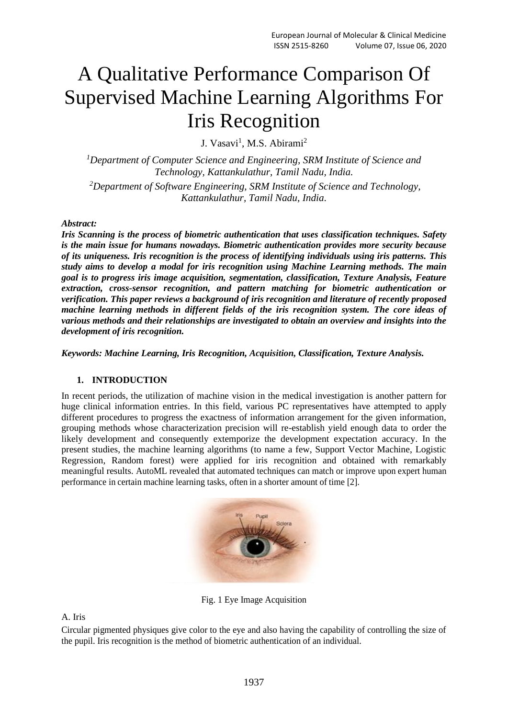# A Qualitative Performance Comparison Of Supervised Machine Learning Algorithms For Iris Recognition

J. Vasavi<sup>1</sup>, M.S. Abirami<sup>2</sup>

*<sup>1</sup>Department of Computer Science and Engineering, SRM Institute of Science and Technology, Kattankulathur, Tamil Nadu, India.*

*<sup>2</sup>Department of Software Engineering, SRM Institute of Science and Technology, Kattankulathur, Tamil Nadu, India.*

#### *Abstract:*

*Iris Scanning is the process of biometric authentication that uses classification techniques. Safety is the main issue for humans nowadays. Biometric authentication provides more security because of its uniqueness. Iris recognition is the process of identifying individuals using iris patterns. This study aims to develop a modal for iris recognition using Machine Learning methods. The main goal is to progress iris image acquisition, segmentation, classification, Texture Analysis, Feature extraction, cross-sensor recognition, and pattern matching for biometric authentication or verification. This paper reviews a background of iris recognition and literature of recently proposed machine learning methods in different fields of the iris recognition system. The core ideas of various methods and their relationships are investigated to obtain an overview and insights into the development of iris recognition.*

*Keywords: Machine Learning, Iris Recognition, Acquisition, Classification, Texture Analysis.*

# **1. INTRODUCTION**

In recent periods, the utilization of machine vision in the medical investigation is another pattern for huge clinical information entries. In this field, various PC representatives have attempted to apply different procedures to progress the exactness of information arrangement for the given information, grouping methods whose characterization precision will re-establish yield enough data to order the likely development and consequently extemporize the development expectation accuracy. In the present studies, the machine learning algorithms (to name a few, Support Vector Machine, Logistic Regression, Random forest) were applied for iris recognition and obtained with remarkably meaningful results. AutoML revealed that automated techniques can match or improve upon expert human performance in certain machine learning tasks, often in a shorter amount of time [2].



Fig. 1 Eye Image Acquisition

A. Iris

Circular pigmented physiques give color to the eye and also having the capability of controlling the size of the pupil. Iris recognition is the method of biometric authentication of an individual.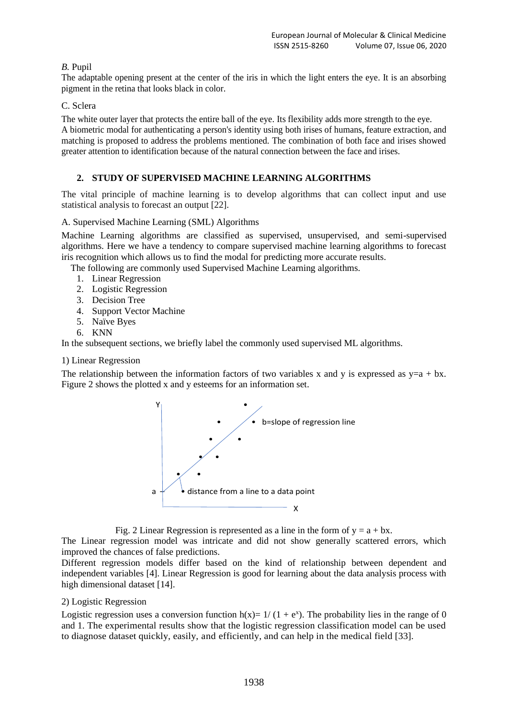# *B.* Pupil

The adaptable opening present at the center of the iris in which the light enters the eye. It is an absorbing pigment in the retina that looks black in color.

# C. Sclera

The white outer layer that protects the entire ball of the eye. Its flexibility adds more strength to the eye. A biometric modal for authenticating a person's identity using both irises of humans, feature extraction, and matching is proposed to address the problems mentioned. The combination of both face and irises showed greater attention to identification because of the natural connection between the face and irises.

# **2. STUDY OF SUPERVISED MACHINE LEARNING ALGORITHMS**

The vital principle of machine learning is to develop algorithms that can collect input and use statistical analysis to forecast an output [22].

# A. Supervised Machine Learning (SML) Algorithms

Machine Learning algorithms are classified as supervised, unsupervised, and semi-supervised algorithms. Here we have a tendency to compare supervised machine learning algorithms to forecast iris recognition which allows us to find the modal for predicting more accurate results.

The following are commonly used Supervised Machine Learning algorithms.

- 1. Linear Regression
- 2. Logistic Regression
- 3. Decision Tree
- 4. Support Vector Machine
- 5. Naïve Byes
- 6. KNN

In the subsequent sections, we briefly label the commonly used supervised ML algorithms.

#### 1) Linear Regression

The relationship between the information factors of two variables x and y is expressed as  $y=a + bx$ . Figure 2 shows the plotted x and y esteems for an information set.



Fig. 2 Linear Regression is represented as a line in the form of  $y = a + bx$ .

The Linear regression model was intricate and did not show generally scattered errors, which improved the chances of false predictions.

Different regression models differ based on the kind of relationship between dependent and independent variables [4]. Linear Regression is good for learning about the data analysis process with high dimensional dataset [14].

#### 2) Logistic Regression

Logistic regression uses a conversion function  $h(x) = 1/(1 + e^x)$ . The probability lies in the range of 0 and 1. The experimental results show that the logistic regression classification model can be used to diagnose dataset quickly, easily, and efficiently, and can help in the medical field [33].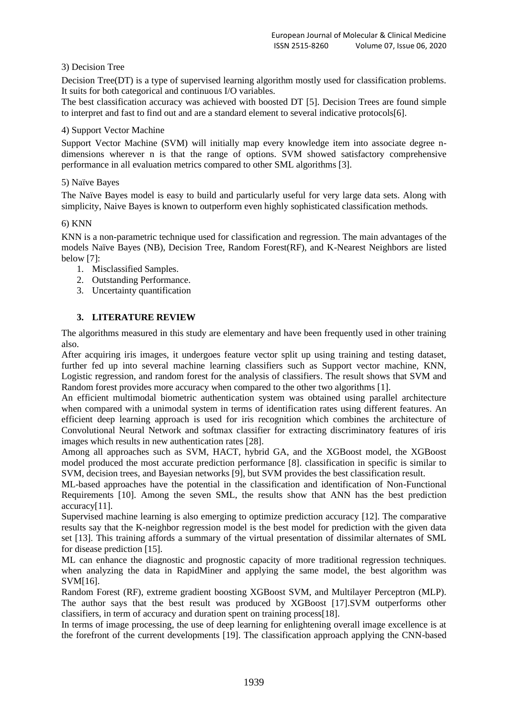# 3) Decision Tree

Decision Tree(DT) is a type of supervised learning algorithm mostly used for classification problems. It suits for both categorical and continuous I/O variables.

The best classification accuracy was achieved with boosted DT [5]. Decision Trees are found simple to interpret and fast to find out and are a standard element to several indicative protocols[6].

#### 4) Support Vector Machine

Support Vector Machine (SVM) will initially map every knowledge item into associate degree ndimensions wherever n is that the range of options. SVM showed satisfactory comprehensive performance in all evaluation metrics compared to other SML algorithms [3].

## 5) Naïve Bayes

The Naïve Bayes model is easy to build and particularly useful for very large data sets. Along with simplicity, Naive Bayes is known to outperform even highly sophisticated classification methods.

#### 6) KNN

KNN is a non-parametric technique used for classification and regression. The main advantages of the models Naïve Bayes (NB), Decision Tree, Random Forest(RF), and K-Nearest Neighbors are listed below [7]:

- 1. Misclassified Samples.
- 2. Outstanding Performance.
- 3. Uncertainty quantification

# **3. LITERATURE REVIEW**

The algorithms measured in this study are elementary and have been frequently used in other training also.

After acquiring iris images, it undergoes feature vector split up using training and testing dataset, further fed up into several machine learning classifiers such as Support vector machine, KNN, Logistic regression, and random forest for the analysis of classifiers. The result shows that SVM and Random forest provides more accuracy when compared to the other two algorithms [1].

An efficient multimodal biometric authentication system was obtained using parallel architecture when compared with a unimodal system in terms of identification rates using different features. An efficient deep learning approach is used for iris recognition which combines the architecture of Convolutional Neural Network and softmax classifier for extracting discriminatory features of iris images which results in new authentication rates [28].

Among all approaches such as SVM, HACT, hybrid GA, and the XGBoost model, the XGBoost model produced the most accurate prediction performance [8]. classification in specific is similar to SVM, decision trees, and Bayesian networks [9], but SVM provides the best classification result.

ML-based approaches have the potential in the classification and identification of Non-Functional Requirements [10]. Among the seven SML, the results show that ANN has the best prediction accuracy[11].

Supervised machine learning is also emerging to optimize prediction accuracy [12]. The comparative results say that the K-neighbor regression model is the best model for prediction with the given data set [13]. This training affords a summary of the virtual presentation of dissimilar alternates of SML for disease prediction [15].

ML can enhance the diagnostic and prognostic capacity of more traditional regression techniques. when analyzing the data in RapidMiner and applying the same model, the best algorithm was SVM[16].

Random Forest (RF), extreme gradient boosting XGBoost SVM, and Multilayer Perceptron (MLP). The author says that the best result was produced by XGBoost [17].SVM outperforms other classifiers, in term of accuracy and duration spent on training process[18].

In terms of image processing, the use of deep learning for enlightening overall image excellence is at the forefront of the current developments [19]. The classification approach applying the CNN-based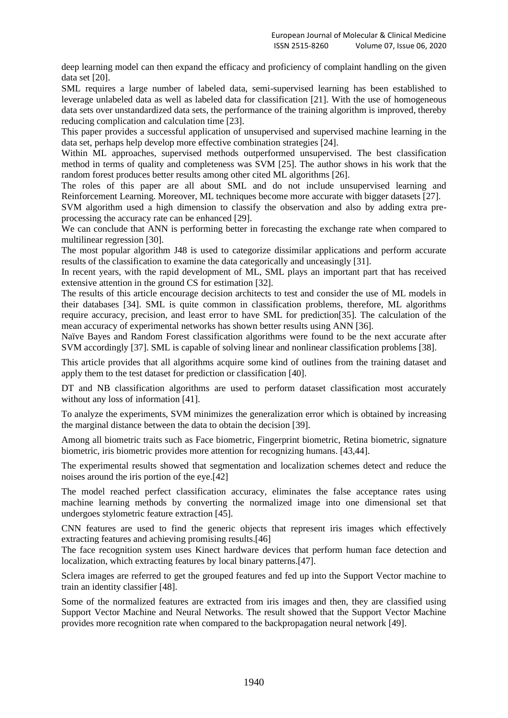deep learning model can then expand the efficacy and proficiency of complaint handling on the given data set [20].

SML requires a large number of labeled data, semi-supervised learning has been established to leverage unlabeled data as well as labeled data for classification [21]. With the use of homogeneous data sets over unstandardized data sets, the performance of the training algorithm is improved, thereby reducing complication and calculation time [23].

This paper provides a successful application of unsupervised and supervised machine learning in the data set, perhaps help develop more effective combination strategies [24].

Within ML approaches, supervised methods outperformed unsupervised. The best classification method in terms of quality and completeness was SVM [25]. The author shows in his work that the random forest produces better results among other cited ML algorithms [26].

The roles of this paper are all about SML and do not include unsupervised learning and Reinforcement Learning. Moreover, ML techniques become more accurate with bigger datasets [27].

SVM algorithm used a high dimension to classify the observation and also by adding extra preprocessing the accuracy rate can be enhanced [29].

We can conclude that ANN is performing better in forecasting the exchange rate when compared to multilinear regression [30].

The most popular algorithm J48 is used to categorize dissimilar applications and perform accurate results of the classification to examine the data categorically and unceasingly [31].

In recent years, with the rapid development of ML, SML plays an important part that has received extensive attention in the ground CS for estimation [32].

The results of this article encourage decision architects to test and consider the use of ML models in their databases [34]. SML is quite common in classification problems, therefore, ML algorithms require accuracy, precision, and least error to have SML for prediction[35]. The calculation of the mean accuracy of experimental networks has shown better results using ANN [36].

Naïve Bayes and Random Forest classification algorithms were found to be the next accurate after SVM accordingly [37]. SML is capable of solving linear and nonlinear classification problems [38].

This article provides that all algorithms acquire some kind of outlines from the training dataset and apply them to the test dataset for prediction or classification [40].

DT and NB classification algorithms are used to perform dataset classification most accurately without any loss of information [41].

To analyze the experiments, SVM minimizes the generalization error which is obtained by increasing the marginal distance between the data to obtain the decision [39].

Among all biometric traits such as Face biometric, Fingerprint biometric, Retina biometric, signature biometric, iris biometric provides more attention for recognizing humans. [43,44].

The experimental results showed that segmentation and localization schemes detect and reduce the noises around the iris portion of the eye.[42]

The model reached perfect classification accuracy, eliminates the false acceptance rates using machine learning methods by converting the normalized image into one dimensional set that undergoes stylometric feature extraction [45].

CNN features are used to find the generic objects that represent iris images which effectively extracting features and achieving promising results.[46]

The face recognition system uses Kinect hardware devices that perform human face detection and localization, which extracting features by local binary patterns.[47].

Sclera images are referred to get the grouped features and fed up into the Support Vector machine to train an identity classifier [48].

Some of the normalized features are extracted from iris images and then, they are classified using Support Vector Machine and Neural Networks. The result showed that the Support Vector Machine provides more recognition rate when compared to the backpropagation neural network [49].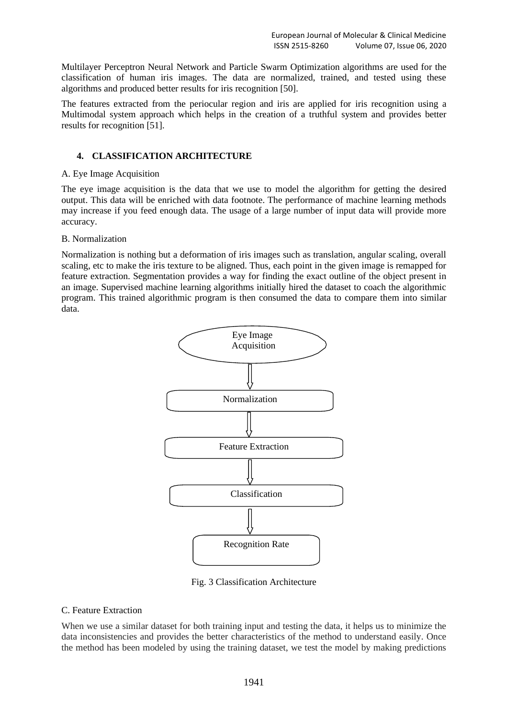Multilayer Perceptron Neural Network and Particle Swarm Optimization algorithms are used for the classification of human iris images. The data are normalized, trained, and tested using these algorithms and produced better results for iris recognition [50].

The features extracted from the periocular region and iris are applied for iris recognition using a Multimodal system approach which helps in the creation of a truthful system and provides better results for recognition [51].

# **4. CLASSIFICATION ARCHITECTURE**

## A. Eye Image Acquisition

The eye image acquisition is the data that we use to model the algorithm for getting the desired output. This data will be enriched with data footnote. The performance of machine learning methods may increase if you feed enough data. The usage of a large number of input data will provide more accuracy.

# B. Normalization

Normalization is nothing but a deformation of iris images such as translation, angular scaling, overall scaling, etc to make the iris texture to be aligned. Thus, each point in the given image is remapped for feature extraction. Segmentation provides a way for finding the exact outline of the object present in an image. Supervised machine learning algorithms initially hired the dataset to coach the algorithmic program. This trained algorithmic program is then consumed the data to compare them into similar data.



Fig. 3 Classification Architecture

# C. Feature Extraction

When we use a similar dataset for both training input and testing the data, it helps us to minimize the data inconsistencies and provides the better characteristics of the method to understand easily. Once the method has been modeled by using the training dataset, we test the model by making predictions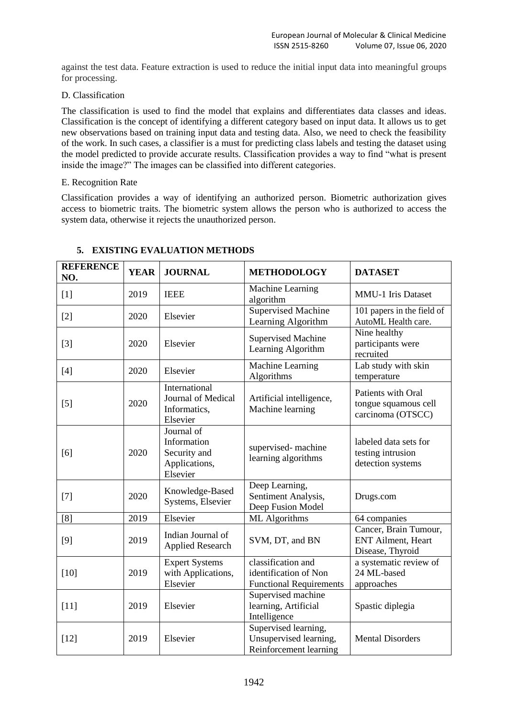against the test data. Feature extraction is used to reduce the initial input data into meaningful groups for processing.

## D. Classification

The classification is used to find the model that explains and differentiates data classes and ideas. Classification is the concept of identifying a different category based on input data. It allows us to get new observations based on training input data and testing data. Also, we need to check the feasibility of the work. In such cases, a classifier is a must for predicting class labels and testing the dataset using the model predicted to provide accurate results. Classification provides a way to find "what is present inside the image?" The images can be classified into different categories.

## E. Recognition Rate

Classification provides a way of identifying an authorized person. Biometric authorization gives access to biometric traits. The biometric system allows the person who is authorized to access the system data, otherwise it rejects the unauthorized person.

| <b>REFERENCE</b><br>NO. | <b>YEAR</b> | <b>JOURNAL</b>                                                         | <b>METHODOLOGY</b>                                                            | <b>DATASET</b>                                                          |
|-------------------------|-------------|------------------------------------------------------------------------|-------------------------------------------------------------------------------|-------------------------------------------------------------------------|
| $[1]$                   | 2019        | <b>IEEE</b>                                                            | Machine Learning<br>algorithm                                                 | <b>MMU-1</b> Iris Dataset                                               |
| $[2]$                   | 2020        | Elsevier                                                               | <b>Supervised Machine</b><br>Learning Algorithm                               | 101 papers in the field of<br>AutoML Health care.                       |
| $[3]$                   | 2020        | Elsevier                                                               | <b>Supervised Machine</b><br>Learning Algorithm                               | Nine healthy<br>participants were<br>recruited                          |
| $[4]$                   | 2020        | Elsevier                                                               | Machine Learning<br>Algorithms                                                | Lab study with skin<br>temperature                                      |
| $[5]$                   | 2020        | International<br>Journal of Medical<br>Informatics,<br>Elsevier        | Artificial intelligence,<br>Machine learning                                  | Patients with Oral<br>tongue squamous cell<br>carcinoma (OTSCC)         |
| [6]                     | 2020        | Journal of<br>Information<br>Security and<br>Applications,<br>Elsevier | supervised-machine<br>learning algorithms                                     | labeled data sets for<br>testing intrusion<br>detection systems         |
| $[7]$                   | 2020        | Knowledge-Based<br>Systems, Elsevier                                   | Deep Learning,<br>Sentiment Analysis,<br>Deep Fusion Model                    | Drugs.com                                                               |
| [8]                     | 2019        | Elsevier                                                               | ML Algorithms                                                                 | 64 companies                                                            |
| $[9]$                   | 2019        | Indian Journal of<br><b>Applied Research</b>                           | SVM, DT, and BN                                                               | Cancer, Brain Tumour,<br><b>ENT Ailment</b> , Heart<br>Disease, Thyroid |
| $[10]$                  | 2019        | <b>Expert Systems</b><br>with Applications,<br>Elsevier                | classification and<br>identification of Non<br><b>Functional Requirements</b> | a systematic review of<br>24 ML-based<br>approaches                     |
| $[11]$                  | 2019        | Elsevier                                                               | Supervised machine<br>learning, Artificial<br>Intelligence                    | Spastic diplegia                                                        |
| $[12]$                  | 2019        | Elsevier                                                               | Supervised learning,<br>Unsupervised learning,<br>Reinforcement learning      | <b>Mental Disorders</b>                                                 |

# **5. EXISTING EVALUATION METHODS**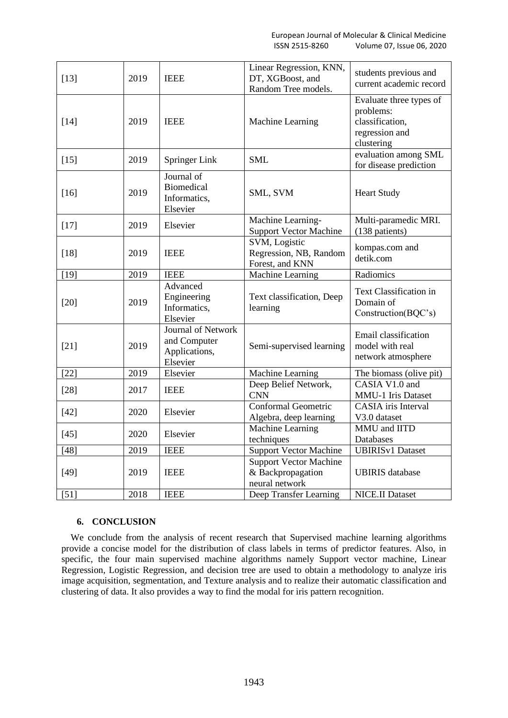| $[13]$ | 2019 | <b>IEEE</b>                                                     | Linear Regression, KNN,<br>DT, XGBoost, and<br>Random Tree models.   | students previous and<br>current academic record                                        |
|--------|------|-----------------------------------------------------------------|----------------------------------------------------------------------|-----------------------------------------------------------------------------------------|
| $[14]$ | 2019 | <b>IEEE</b>                                                     | Machine Learning                                                     | Evaluate three types of<br>problems:<br>classification,<br>regression and<br>clustering |
| $[15]$ | 2019 | <b>Springer Link</b>                                            | <b>SML</b>                                                           | evaluation among SML<br>for disease prediction                                          |
| $[16]$ | 2019 | Journal of<br><b>Biomedical</b><br>Informatics,<br>Elsevier     | SML, SVM                                                             | <b>Heart Study</b>                                                                      |
| $[17]$ | 2019 | Elsevier                                                        | Machine Learning-<br><b>Support Vector Machine</b>                   | Multi-paramedic MRI.<br>(138 patients)                                                  |
| $[18]$ | 2019 | <b>IEEE</b>                                                     | SVM, Logistic<br>Regression, NB, Random<br>Forest, and KNN           | kompas.com and<br>detik.com                                                             |
| $[19]$ | 2019 | <b>IEEE</b>                                                     | Machine Learning                                                     | Radiomics                                                                               |
| $[20]$ | 2019 | Advanced<br>Engineering<br>Informatics,<br>Elsevier             | Text classification, Deep<br>learning                                | Text Classification in<br>Domain of<br>Construction(BQC's)                              |
| $[21]$ | 2019 | Journal of Network<br>and Computer<br>Applications,<br>Elsevier | Semi-supervised learning                                             | Email classification<br>model with real<br>network atmosphere                           |
| $[22]$ | 2019 | Elsevier                                                        | Machine Learning                                                     | The biomass (olive pit)                                                                 |
| $[28]$ | 2017 | <b>IEEE</b>                                                     | Deep Belief Network,<br><b>CNN</b>                                   | CASIA V1.0 and<br><b>MMU-1</b> Iris Dataset                                             |
| $[42]$ | 2020 | Elsevier                                                        | Conformal Geometric<br>Algebra, deep learning                        | <b>CASIA</b> iris Interval<br>V3.0 dataset                                              |
| $[45]$ | 2020 | Elsevier                                                        | Machine Learning<br>techniques                                       | MMU and IITD<br>Databases                                                               |
| [48]   | 2019 | <b>IEEE</b>                                                     | <b>Support Vector Machine</b>                                        | <b>UBIRISv1 Dataset</b>                                                                 |
| $[49]$ | 2019 | <b>IEEE</b>                                                     | <b>Support Vector Machine</b><br>& Backpropagation<br>neural network | <b>UBIRIS</b> database                                                                  |
| $[51]$ | 2018 | <b>IEEE</b>                                                     | Deep Transfer Learning                                               | <b>NICE.II Dataset</b>                                                                  |

# **6. CONCLUSION**

We conclude from the analysis of recent research that Supervised machine learning algorithms provide a concise model for the distribution of class labels in terms of predictor features. Also, in specific, the four main supervised machine algorithms namely Support vector machine, Linear Regression, Logistic Regression, and decision tree are used to obtain a methodology to analyze iris image acquisition, segmentation, and Texture analysis and to realize their automatic classification and clustering of data. It also provides a way to find the modal for iris pattern recognition.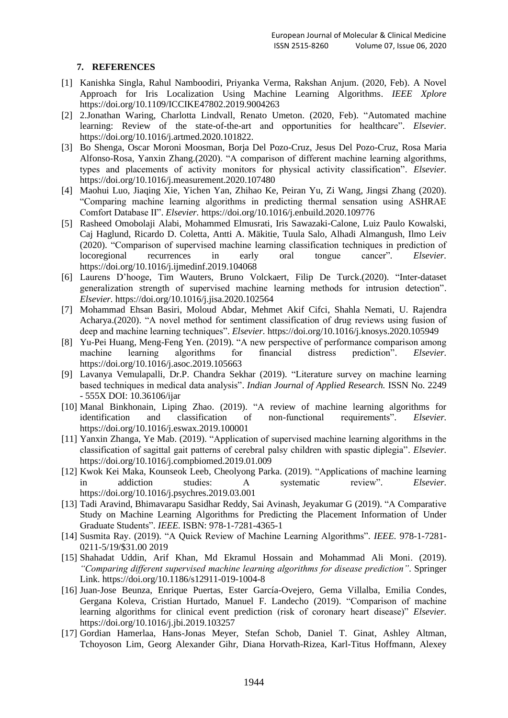# **7. REFERENCES**

- [1] Kanishka Singla, Rahul Namboodiri, Priyanka Verma, Rakshan Anjum. (2020, Feb). A Novel Approach for Iris Localization Using Machine Learning Algorithms. *IEEE Xplore* https://doi.org/10.1109/ICCIKE47802.2019.9004263
- [2] 2.Jonathan Waring, Charlotta Lindvall, Renato Umeton. (2020, Feb). "Automated machine learning: Review of the state-of-the-art and opportunities for healthcare". *Elsevier.* https://doi.org/10.1016/j.artmed.2020.101822.
- [3] Bo Shenga, Oscar Moroni Moosman, Borja Del Pozo-Cruz, Jesus Del Pozo-Cruz, Rosa Maria Alfonso-Rosa, Yanxin Zhang.(2020). "A comparison of different machine learning algorithms, types and placements of activity monitors for physical activity classification". *Elsevier.* https://doi.org/10.1016/j.measurement.2020.107480
- [4] Maohui Luo, Jiaqing Xie, Yichen Yan, Zhihao Ke, Peiran Yu, Zi Wang, Jingsi Zhang (2020). "Comparing machine learning algorithms in predicting thermal sensation using ASHRAE Comfort Database II". *Elsevier.* https://doi.org/10.1016/j.enbuild.2020.109776
- [5] Rasheed Omobolaji Alabi, Mohammed Elmusrati, Iris Sawazaki‐Calone, Luiz Paulo Kowalski, Caj Haglund, Ricardo D. Coletta, Antti A. Mäkitie, Tuula Salo, Alhadi Almangush, Ilmo Leiv (2020). "Comparison of supervised machine learning classification techniques in prediction of locoregional recurrences in early oral tongue cancer". *Elsevier.* https://doi.org/10.1016/j.ijmedinf.2019.104068
- [6] Laurens D'hooge, Tim Wauters, Bruno Volckaert, Filip De Turck.(2020). "Inter-dataset generalization strength of supervised machine learning methods for intrusion detection". *Elsevier.* https://doi.org/10.1016/j.jisa.2020.102564
- [7] Mohammad Ehsan Basiri, Moloud Abdar, Mehmet Akif Cifci, Shahla Nemati, U. Rajendra Acharya.(2020). "A novel method for sentiment classification of drug reviews using fusion of deep and machine learning techniques". *Elsevier.* https://doi.org/10.1016/j.knosys.2020.105949
- [8] Yu-Pei Huang, Meng-Feng Yen. (2019). "A new perspective of performance comparison among machine learning algorithms for financial distress prediction". *Elsevier.* https://doi.org/10.1016/j.asoc.2019.105663
- [9] Lavanya Vemulapalli, Dr.P. Chandra Sekhar (2019). "Literature survey on machine learning based techniques in medical data analysis". *Indian Journal of Applied Research.* ISSN No. 2249 - 555X DOI: 10.36106/ijar
- [10] Manal Binkhonain, Liping Zhao. (2019). "A review of machine learning algorithms for identification and classification of non-functional requirements". *Elsevier.* https://doi.org/10.1016/j.eswax.2019.100001
- [11] Yanxin Zhanga, Ye Mab. (2019). "Application of supervised machine learning algorithms in the classification of sagittal gait patterns of cerebral palsy children with spastic diplegia". *Elsevier.* https://doi.org/10.1016/j.compbiomed.2019.01.009
- [12] Kwok Kei Maka, Kounseok Leeb, Cheolyong Parka. (2019). "Applications of machine learning in addiction studies: A systematic review". *Elsevier.* https://doi.org/10.1016/j.psychres.2019.03.001
- [13] Tadi Aravind, Bhimavarapu Sasidhar Reddy, Sai Avinash, Jeyakumar G (2019). "A Comparative Study on Machine Learning Algorithms for Predicting the Placement Information of Under Graduate Students". *IEEE.* ISBN: 978-1-7281-4365-1
- [14] Susmita Ray. (2019). "A Quick Review of Machine Learning Algorithms". *IEEE.* 978-1-7281- 0211-5/19/\$31.00 2019
- [15] Shahadat Uddin, Arif Khan, Md Ekramul Hossain and Mohammad Ali Moni. (2019). *"Comparing different supervised machine learning algorithms for disease prediction".* Springer Link. https://doi.org/10.1186/s12911-019-1004-8
- [16] Juan-Jose Beunza, Enrique Puertas, Ester García-Ovejero, Gema Villalba, Emilia Condes, Gergana Koleva, Cristian Hurtado, Manuel F. Landecho (2019). "Comparison of machine learning algorithms for clinical event prediction (risk of coronary heart disease)" *Elsevier.* https://doi.org/10.1016/j.jbi.2019.103257
- [17] Gordian Hamerlaa, Hans-Jonas Meyer, Stefan Schob, Daniel T. Ginat, Ashley Altman, Tchoyoson Lim, Georg Alexander Gihr, Diana Horvath-Rizea, Karl-Titus Hoffmann, Alexey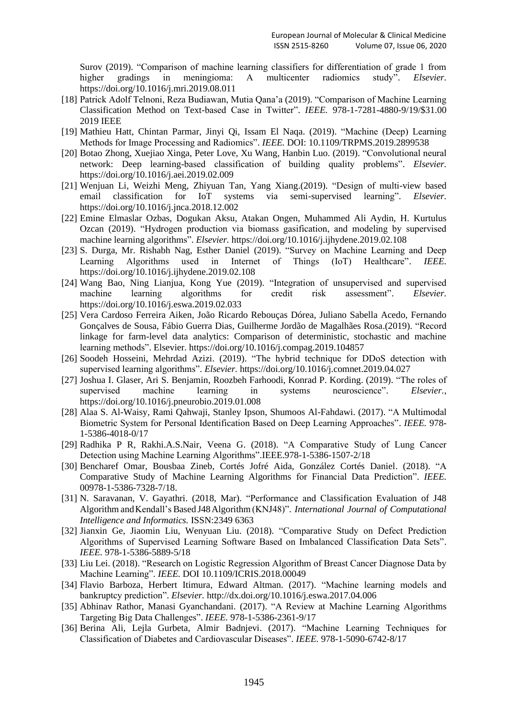Surov (2019). "Comparison of machine learning classifiers for differentiation of grade 1 from higher gradings in meningioma: A multicenter radiomics study". *Elsevier.* https://doi.org/10.1016/j.mri.2019.08.011

- [18] Patrick Adolf Telnoni, Reza Budiawan, Mutia Qana'a (2019). "Comparison of Machine Learning Classification Method on Text-based Case in Twitter". *IEEE.* 978-1-7281-4880-9/19/\$31.00 2019 IEEE
- [19] Mathieu Hatt, Chintan Parmar, Jinyi Qi, Issam El Naqa. (2019). "Machine (Deep) Learning Methods for Image Processing and Radiomics". *IEEE.* DOI: 10.1109/TRPMS.2019.2899538
- [20] Botao Zhong, Xuejiao Xinga, Peter Love, Xu Wang, Hanbin Luo. (2019). "Convolutional neural network: Deep learning-based classification of building quality problems". *Elsevier.* https://doi.org/10.1016/j.aei.2019.02.009
- [21] Wenjuan Li, Weizhi Meng, Zhiyuan Tan, Yang Xiang.(2019). "Design of multi-view based email classification for IoT systems via semi-supervised learning". *Elsevier.* https://doi.org/10.1016/j.jnca.2018.12.002
- [22] Emine Elmaslar Ozbas, Dogukan Aksu, Atakan Ongen, Muhammed Ali Aydin, H. Kurtulus Ozcan (2019). "Hydrogen production via biomass gasification, and modeling by supervised machine learning algorithms". *Elsevier.* https://doi.org/10.1016/j.ijhydene.2019.02.108
- [23] S. Durga, Mr. Rishabh Nag, Esther Daniel (2019). "Survey on Machine Learning and Deep Learning Algorithms used in Internet of Things (IoT) Healthcare". *IEEE.* https://doi.org/10.1016/j.ijhydene.2019.02.108
- [24] Wang Bao, Ning Lianjua, Kong Yue (2019). "Integration of unsupervised and supervised machine learning algorithms for credit risk assessment". *Elsevier.* https://doi.org/10.1016/j.eswa.2019.02.033
- [25] Vera Cardoso Ferreira Aiken, João Ricardo Rebouças Dórea, Juliano Sabella Acedo, Fernando Gonçalves de Sousa, Fábio Guerra Dias, Guilherme Jordão de Magalhães Rosa.(2019). "Record linkage for farm-level data analytics: Comparison of deterministic, stochastic and machine learning methods". Elsevier. https://doi.org/10.1016/j.compag.2019.104857
- [26] Soodeh Hosseini, Mehrdad Azizi. (2019). "The hybrid technique for DDoS detection with supervised learning algorithms". *Elsevier.* https://doi.org/10.1016/j.comnet.2019.04.027
- [27] Joshua I. Glaser, Ari S. Benjamin, Roozbeh Farhoodi, Konrad P. Kording. (2019). "The roles of supervised machine learning in systems neuroscience". *Elsevier.,* https://doi.org/10.1016/j.pneurobio.2019.01.008
- [28] Alaa S. Al-Waisy, Rami Qahwaji, Stanley Ipson, Shumoos Al-Fahdawi. (2017). "A Multimodal Biometric System for Personal Identification Based on Deep Learning Approaches". *IEEE.* 978- 1-5386-4018-0/17
- [29] Radhika P R, Rakhi.A.S.Nair, Veena G. (2018). "A Comparative Study of Lung Cancer Detection using Machine Learning Algorithms".IEEE.978-1-5386-1507-2/18
- [30] Bencharef Omar, Bousbaa Zineb, Cortés Jofré Aida, González Cortés Daniel. (2018). "A Comparative Study of Machine Learning Algorithms for Financial Data Prediction". *IEEE.* 00978-1-5386-7328-7/18.
- [31] N. Saravanan, V. Gayathri. (2018, Mar). "Performance and Classification Evaluation of J48 Algorithm andKendall's Based J48Algorithm(KNJ48)". *International Journal of Computational Intelligence and Informatics.* ISSN:2349 6363
- [32] Jianxin Ge, Jiaomin Liu, Wenyuan Liu. (2018). "Comparative Study on Defect Prediction Algorithms of Supervised Learning Software Based on Imbalanced Classification Data Sets". *IEEE.* 978-1-5386-5889-5/18
- [33] Liu Lei. (2018). "Research on Logistic Regression Algorithm of Breast Cancer Diagnose Data by Machine Learning". *IEEE.* DOI 10.1109/ICRIS.2018.00049
- [34] Flavio Barboza, Herbert Itimura, Edward Altman. (2017). "Machine learning models and bankruptcy prediction". *Elsevier.* http://dx.doi.org/10.1016/j.eswa.2017.04.006
- [35] Abhinav Rathor, Manasi Gyanchandani. (2017). "A Review at Machine Learning Algorithms Targeting Big Data Challenges". *IEEE.* 978-1-5386-2361-9/17
- [36] Berina Ali, Lejla Gurbeta, Almir Badnjevi. (2017). "Machine Learning Techniques for Classification of Diabetes and Cardiovascular Diseases". *IEEE.* 978-1-5090-6742-8/17